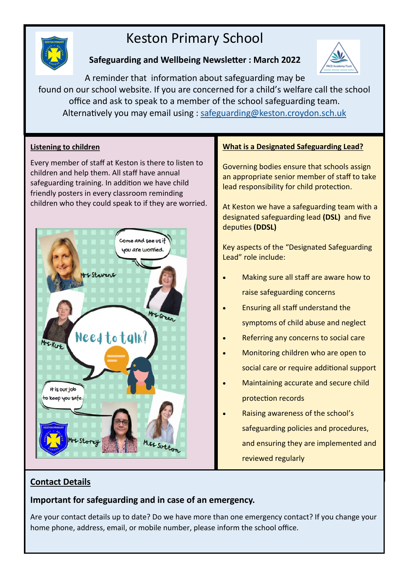# Keston Primary School



# **Safeguarding and Wellbeing Newsletter : March 2022**



A reminder that information about safeguarding may be found on our school website. If you are concerned for a child's welfare call the school office and ask to speak to a member of the school safeguarding team. Alternatively you may email using : [safeguarding@keston.croydon.sch.uk](mailto:safeguarding@keston.croydon.sch.uk)

# **Listening to children**

Every member of staff at Keston is there to listen to children and help them. All staff have annual safeguarding training. In addition we have child friendly posters in every classroom reminding children who they could speak to if they are worried.



## **What is a Designated Safeguarding Lead?**

Governing bodies ensure that schools assign an appropriate senior member of staff to take lead responsibility for child protection.

At Keston we have a safeguarding team with a designated safeguarding lead **(DSL)** and five deputies **(DDSL)**

Key aspects of the "Designated Safeguarding Lead" role include:

- Making sure all staff are aware how to raise safeguarding concerns
- Ensuring all staff understand the symptoms of child abuse and neglect
- Referring any concerns to social care
- Monitoring children who are open to social care or require additional support
- Maintaining accurate and secure child protection records
- Raising awareness of the school's safeguarding policies and procedures, and ensuring they are implemented and reviewed regularly

# **Contact Details**

**Important for safeguarding and in case of an emergency.** 

Are your contact details up to date? Do we have more than one emergency contact? If you change your home phone, address, email, or mobile number, please inform the school office.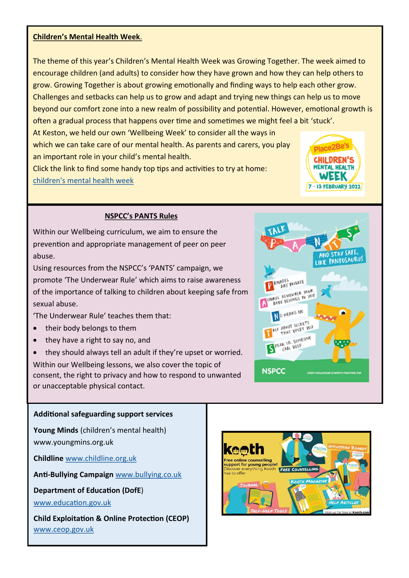#### **Children's Mental Health Week**.

The theme of this year's Children's Mental Health Week was Growing Together. The week aimed to encourage children (and adults) to consider how they have grown and how they can help others to grow. Growing Together is about growing emotionally and finding ways to help each other grow. Challenges and setbacks can help us to grow and adapt and trying new things can help us to move beyond our comfort zone into a new realm of possibility and potential. However, emotional growth is often a gradual process that happens over time and sometimes we might feel a bit 'stuck'.

At Keston, we held our own 'Wellbeing Week' to consider all the ways in which we can take care of our mental health. As parents and carers, you play an important role in your child's mental health.

Click the link to find some handy top tips and activities to try at home: [children's mental health week](https://www.childrensmentalhealthweek.org.uk/parents-and-carers/?utm_source=Sprint&utm_medium=email&utm_campaign=cmhw-dec-2021)



### **NSPCC's PANTS Rules**

Within our Wellbeing curriculum, we aim to ensure the prevention and appropriate management of peer on peer abuse.

Using resources from the NSPCC's 'PANTS' campaign, we promote 'The Underwear Rule' which aims to raise awareness of the importance of talking to children about keeping safe from sexual abuse.

'The Underwear Rule' teaches them that:

- their body belongs to them
- they have a right to say no, and

• they should always tell an adult if they're upset or worried. Within our Wellbeing lessons, we also cover the topic of consent, the right to privacy and how to respond to unwanted or unacceptable physical contact.



# **Additional safeguarding support services**

**Young Minds** (children's mental health) www.youngmins.org.uk

**Childline** [www.childline.org.uk](http://www.childline.org.uk)

**Anti-Bullying Campaign** [www.bullying.co.uk](http://www.bullying.co.uk)

**Department of Education (DofE**)

[www.education.gov.uk](http://www.education.gov.uk)

**Child Exploitation & Online Protection (CEOP)** [www.ceop.gov.uk](http://www.ceop.gov.uk)

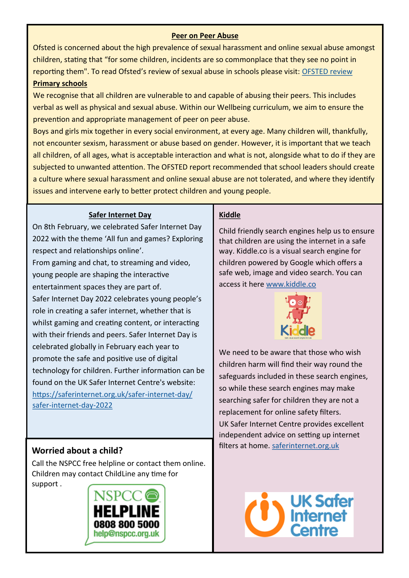### **Peer on Peer Abuse**

Ofsted is concerned about the high prevalence of sexual harassment and online sexual abuse amongst children, stating that "for some children, incidents are so commonplace that they see no point in reporting them". To read Ofsted's review of sexual abuse in schools please visit: [OFSTED review](https://www.gov.uk/government/publications/review-of-sexual-abuse-in-schools-and-colleges)  **Primary schools** 

We recognise that all children are vulnerable to and capable of abusing their peers. This includes verbal as well as physical and sexual abuse. Within our Wellbeing curriculum, we aim to ensure the prevention and appropriate management of peer on peer abuse.

Boys and girls mix together in every social environment, at every age. Many children will, thankfully, not encounter sexism, harassment or abuse based on gender. However, it is important that we teach all children, of all ages, what is acceptable interaction and what is not, alongside what to do if they are subjected to unwanted attention. The OFSTED report recommended that school leaders should create a culture where sexual harassment and online sexual abuse are not tolerated, and where they identify issues and intervene early to better protect children and young people.

### **Safer Internet Day**

On 8th February, we celebrated Safer Internet Day 2022 with the theme 'All fun and games? Exploring respect and relationships online'.

From gaming and chat, to streaming and video, young people are shaping the interactive

entertainment spaces they are part of. Safer Internet Day 2022 celebrates young people's role in creating a safer internet, whether that is whilst gaming and creating content, or interacting with their friends and peers. Safer Internet Day is celebrated globally in February each year to promote the safe and positive use of digital technology for children. Further information can be found on the UK Safer Internet Centre's website: [https://saferinternet.org.uk/safer](https://saferinternet.org.uk/safer-internet-day/safer-internet-day-2022)-internet-day/ safer-[internet](https://saferinternet.org.uk/safer-internet-day/safer-internet-day-2022)-day-2022

Call the NSPCC free helpline or contact them online. Children may contact ChildLine any time for support .



### **Kiddle**

Child friendly search engines help us to ensure that children are using the internet in a safe way. Kiddle.co is a visual search engine for children powered by Google which offers a safe web, image and video search. You can access it here [www.kiddle.co](http://www.kiddle.co)



We need to be aware that those who wish children harm will find their way round the safeguards included in these search engines, so while these search engines may make searching safer for children they are not a replacement for online safety filters. UK Safer Internet Centre provides excellent independent advice on setting up internet **Worried about a child?** Morried about a child?